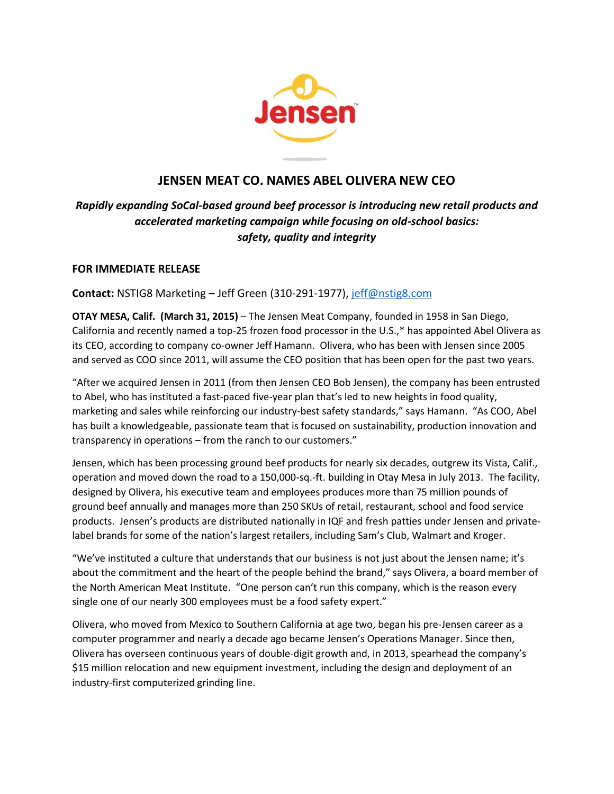

## **JENSEN MEAT CO. NAMES ABEL OLIVERA NEW CEO**

# *Rapidly expanding SoCal-based ground beef processor is introducing new retail products and accelerated marketing campaign while focusing on old-school basics: safety, quality and integrity*

## **FOR IMMEDIATE RELEASE**

**Contact:** NSTIG8 Marketing – Jeff Green (310-291-1977), [jeff@nstig8.com](mailto:jeff@nstig8.com)

**OTAY MESA, Calif. (March 31, 2015)** – The Jensen Meat Company, founded in 1958 in San Diego, California and recently named a top-25 frozen food processor in the U.S.,\* has appointed Abel Olivera as its CEO, according to company co-owner Jeff Hamann. Olivera, who has been with Jensen since 2005 and served as COO since 2011, will assume the CEO position that has been open for the past two years.

"After we acquired Jensen in 2011 (from then Jensen CEO Bob Jensen), the company has been entrusted to Abel, who has instituted a fast-paced five-year plan that's led to new heights in food quality, marketing and sales while reinforcing our industry-best safety standards," says Hamann. "As COO, Abel has built a knowledgeable, passionate team that is focused on sustainability, production innovation and transparency in operations – from the ranch to our customers."

Jensen, which has been processing ground beef products for nearly six decades, outgrew its Vista, Calif., operation and moved down the road to a 150,000-sq.-ft. building in Otay Mesa in July 2013. The facility, designed by Olivera, his executive team and employees produces more than 75 million pounds of ground beef annually and manages more than 250 SKUs of retail, restaurant, school and food service products. Jensen's products are distributed nationally in IQF and fresh patties under Jensen and privatelabel brands for some of the nation's largest retailers, including Sam's Club, Walmart and Kroger.

"We've instituted a culture that understands that our business is not just about the Jensen name; it's about the commitment and the heart of the people behind the brand," says Olivera, a board member of the North American Meat Institute. "One person can't run this company, which is the reason every single one of our nearly 300 employees must be a food safety expert."

Olivera, who moved from Mexico to Southern California at age two, began his pre-Jensen career as a computer programmer and nearly a decade ago became Jensen's Operations Manager. Since then, Olivera has overseen continuous years of double-digit growth and, in 2013, spearhead the company's \$15 million relocation and new equipment investment, including the design and deployment of an industry-first computerized grinding line.